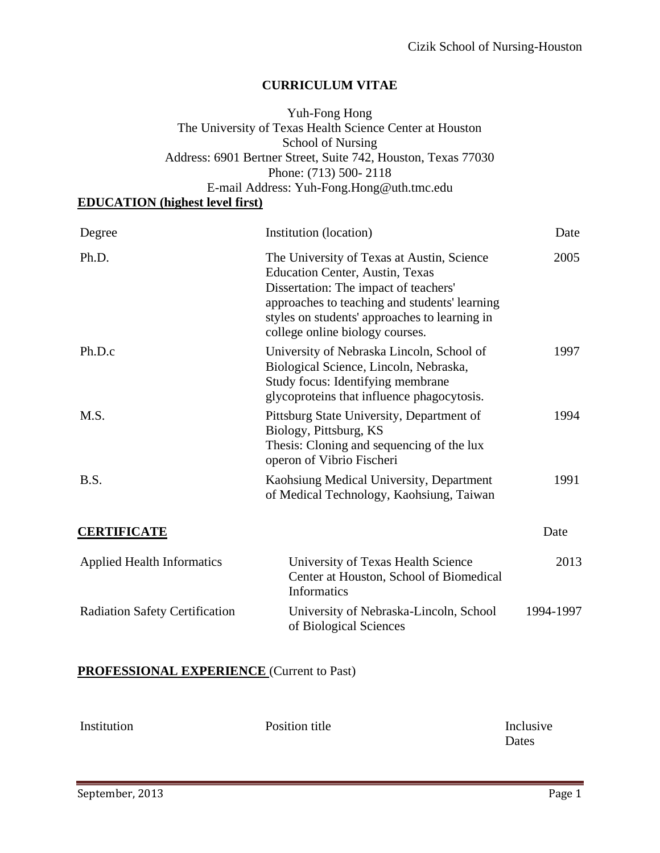## **CURRICULUM VITAE**

## Yuh-Fong Hong The University of Texas Health Science Center at Houston School of Nursing Address: 6901 Bertner Street, Suite 742, Houston, Texas 77030 Phone: (713) 500- 2118 E-mail Address: Yuh-Fong.Hong@uth.tmc.edu

# **EDUCATION (highest level first)**

| Degree                                | Institution (location)                                                                                                                                                                                                                                             | Date      |  |
|---------------------------------------|--------------------------------------------------------------------------------------------------------------------------------------------------------------------------------------------------------------------------------------------------------------------|-----------|--|
| Ph.D.                                 | The University of Texas at Austin, Science<br><b>Education Center, Austin, Texas</b><br>Dissertation: The impact of teachers'<br>approaches to teaching and students' learning<br>styles on students' approaches to learning in<br>college online biology courses. | 2005      |  |
| Ph.D.c                                | University of Nebraska Lincoln, School of<br>Biological Science, Lincoln, Nebraska,<br>Study focus: Identifying membrane<br>glycoproteins that influence phagocytosis.                                                                                             | 1997      |  |
| M.S.                                  | Pittsburg State University, Department of<br>Biology, Pittsburg, KS<br>Thesis: Cloning and sequencing of the lux<br>operon of Vibrio Fischeri                                                                                                                      | 1994      |  |
| B.S.                                  | Kaohsiung Medical University, Department<br>of Medical Technology, Kaohsiung, Taiwan                                                                                                                                                                               | 1991      |  |
| <b>CERTIFICATE</b>                    |                                                                                                                                                                                                                                                                    | Date      |  |
| <b>Applied Health Informatics</b>     | University of Texas Health Science<br>Center at Houston, School of Biomedical<br><b>Informatics</b>                                                                                                                                                                | 2013      |  |
| <b>Radiation Safety Certification</b> | University of Nebraska-Lincoln, School<br>of Biological Sciences                                                                                                                                                                                                   | 1994-1997 |  |

## **PROFESSIONAL EXPERIENCE** (Current to Past)

| Institution | Position title | Inclusive |
|-------------|----------------|-----------|
|             |                | Dates     |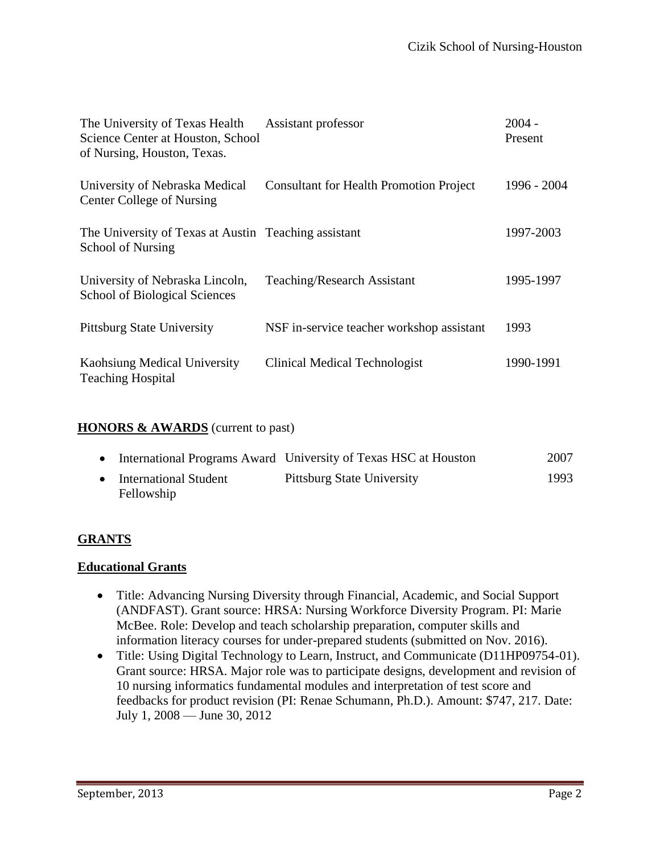| The University of Texas Health<br>Science Center at Houston, School<br>of Nursing, Houston, Texas. | Assistant professor                            | $2004 -$<br>Present |
|----------------------------------------------------------------------------------------------------|------------------------------------------------|---------------------|
| University of Nebraska Medical<br><b>Center College of Nursing</b>                                 | <b>Consultant for Health Promotion Project</b> | 1996 - 2004         |
| The University of Texas at Austin Teaching assistant<br>School of Nursing                          |                                                | 1997-2003           |
| University of Nebraska Lincoln,<br><b>School of Biological Sciences</b>                            | Teaching/Research Assistant                    | 1995-1997           |
| <b>Pittsburg State University</b>                                                                  | NSF in-service teacher workshop assistant      | 1993                |
| Kaohsiung Medical University<br><b>Teaching Hospital</b>                                           | <b>Clinical Medical Technologist</b>           | 1990-1991           |

#### **HONORS & AWARDS** (current to past)

|                                     | International Programs Award University of Texas HSC at Houston | 2007 |
|-------------------------------------|-----------------------------------------------------------------|------|
| International Student<br>Fellowship | <b>Pittsburg State University</b>                               | 1993 |

#### **GRANTS**

#### **Educational Grants**

- Title: Advancing Nursing Diversity through Financial, Academic, and Social Support (ANDFAST). Grant source: HRSA: Nursing Workforce Diversity Program. PI: Marie McBee. Role: Develop and teach scholarship preparation, computer skills and information literacy courses for under-prepared students (submitted on Nov. 2016).
- Title: Using Digital Technology to Learn, Instruct, and Communicate (D11HP09754-01). Grant source: HRSA. Major role was to participate designs, development and revision of 10 nursing informatics fundamental modules and interpretation of test score and feedbacks for product revision (PI: Renae Schumann, Ph.D.). Amount: \$747, 217. Date: July 1, 2008 — June 30, 2012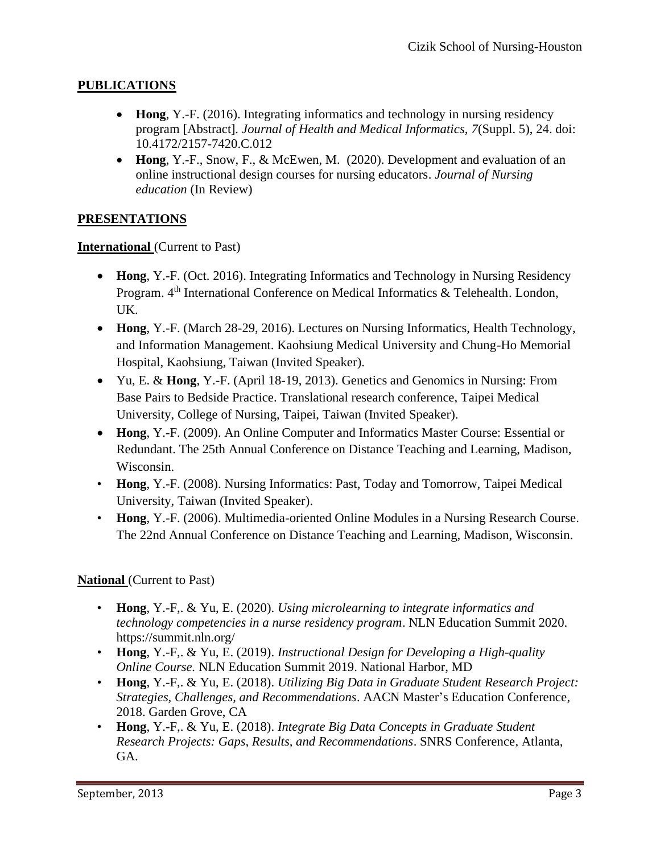# **PUBLICATIONS**

- **Hong**, Y.-F. (2016). Integrating informatics and technology in nursing residency program [Abstract]*. Journal of Health and Medical Informatics, 7*(Suppl. 5), 24. doi: 10.4172/2157-7420.C.012
- **Hong**, Y.-F., Snow, F., & McEwen, M. (2020). Development and evaluation of an online instructional design courses for nursing educators. *Journal of Nursing education* (In Review)

## **PRESENTATIONS**

#### **International** (Current to Past)

- **Hong**, Y.-F. (Oct. 2016). Integrating Informatics and Technology in Nursing Residency Program. 4<sup>th</sup> International Conference on Medical Informatics & Telehealth. London, UK.
- **Hong**, Y.-F. (March 28-29, 2016). Lectures on Nursing Informatics, Health Technology, and Information Management. Kaohsiung Medical University and Chung-Ho Memorial Hospital, Kaohsiung, Taiwan (Invited Speaker).
- Yu, E. & **Hong**, Y.-F. (April 18-19, 2013). Genetics and Genomics in Nursing: From Base Pairs to Bedside Practice. Translational research conference, Taipei Medical University, College of Nursing, Taipei, Taiwan (Invited Speaker).
- **Hong**, Y.-F. (2009). An Online Computer and Informatics Master Course: Essential or Redundant. The 25th Annual Conference on Distance Teaching and Learning, Madison, Wisconsin.
- **Hong**, Y.-F. (2008). Nursing Informatics: Past, Today and Tomorrow, Taipei Medical University, Taiwan (Invited Speaker).
- **Hong**, Y.-F. (2006). Multimedia-oriented Online Modules in a Nursing Research Course. The 22nd Annual Conference on Distance Teaching and Learning, Madison, Wisconsin.

#### **National** (Current to Past)

- **Hong**, Y.-F,. & Yu, E. (2020). *Using microlearning to integrate informatics and technology competencies in a nurse residency program*. NLN Education Summit 2020. https://summit.nln.org/
- **Hong**, Y.-F,. & Yu, E. (2019). *Instructional Design for Developing a High-quality Online Course.* NLN Education Summit 2019. National Harbor, MD
- **Hong**, Y.-F,. & Yu, E. (2018). *Utilizing Big Data in Graduate Student Research Project: Strategies, Challenges, and Recommendations*. AACN Master's Education Conference, 2018. Garden Grove, CA
- **Hong**, Y.-F,. & Yu, E. (2018). *Integrate Big Data Concepts in Graduate Student Research Projects: Gaps, Results, and Recommendations*. SNRS Conference, Atlanta, GA.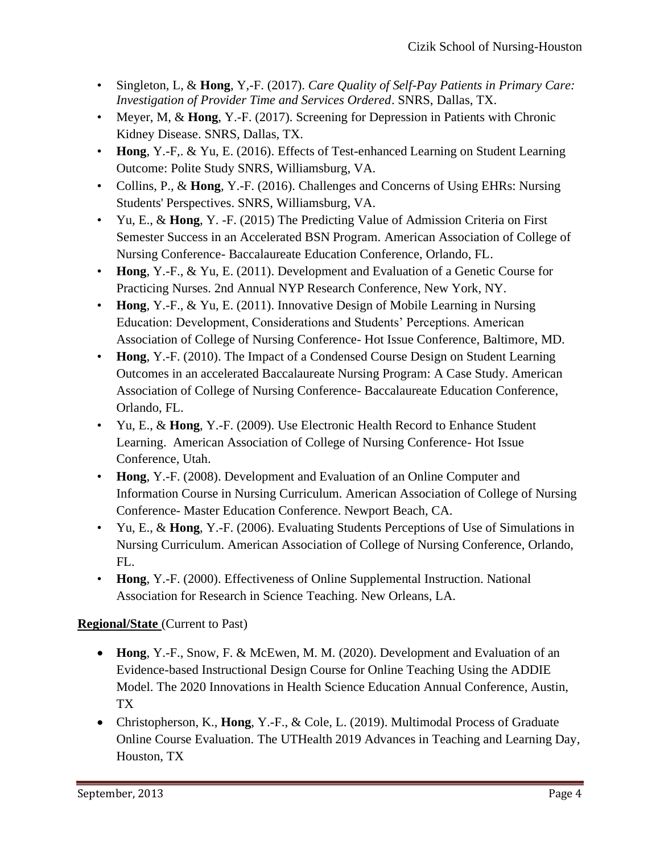- Singleton, L, & **Hong**, Y,-F. (2017). *Care Quality of Self-Pay Patients in Primary Care: Investigation of Provider Time and Services Ordered*. SNRS, Dallas, TX.
- Meyer, M, & **Hong**, Y.-F. (2017). Screening for Depression in Patients with Chronic Kidney Disease. SNRS, Dallas, TX.
- **Hong**, Y.-F,. & Yu, E. (2016). Effects of Test-enhanced Learning on Student Learning Outcome: Polite Study SNRS, Williamsburg, VA.
- Collins, P., & **Hong**, Y.-F. (2016). Challenges and Concerns of Using EHRs: Nursing Students' Perspectives. SNRS, Williamsburg, VA.
- Yu, E., & **Hong**, Y. -F. (2015) The Predicting Value of Admission Criteria on First Semester Success in an Accelerated BSN Program. American Association of College of Nursing Conference- Baccalaureate Education Conference, Orlando, FL.
- **Hong**, Y.-F., & Yu, E. (2011). Development and Evaluation of a Genetic Course for Practicing Nurses. 2nd Annual NYP Research Conference, New York, NY.
- **Hong**, Y.-F., & Yu, E. (2011). Innovative Design of Mobile Learning in Nursing Education: Development, Considerations and Students' Perceptions. American Association of College of Nursing Conference- Hot Issue Conference, Baltimore, MD.
- **Hong**, Y.-F. (2010). The Impact of a Condensed Course Design on Student Learning Outcomes in an accelerated Baccalaureate Nursing Program: A Case Study. American Association of College of Nursing Conference- Baccalaureate Education Conference, Orlando, FL.
- Yu, E., & **Hong**, Y.-F. (2009). Use Electronic Health Record to Enhance Student Learning. American Association of College of Nursing Conference- Hot Issue Conference, Utah.
- **Hong**, Y.-F. (2008). Development and Evaluation of an Online Computer and Information Course in Nursing Curriculum. American Association of College of Nursing Conference- Master Education Conference. Newport Beach, CA.
- Yu, E., & **Hong**, Y.-F. (2006). Evaluating Students Perceptions of Use of Simulations in Nursing Curriculum. American Association of College of Nursing Conference, Orlando, FL.
- **Hong**, Y.-F. (2000). Effectiveness of Online Supplemental Instruction. National Association for Research in Science Teaching. New Orleans, LA.

# **Regional/State** (Current to Past)

- **Hong**, Y.-F., Snow, F. & McEwen, M. M. (2020). Development and Evaluation of an Evidence-based Instructional Design Course for Online Teaching Using the ADDIE Model. The 2020 Innovations in Health Science Education Annual Conference, Austin, TX
- Christopherson, K., **Hong**, Y.-F., & Cole, L. (2019). Multimodal Process of Graduate Online Course Evaluation. The UTHealth 2019 Advances in Teaching and Learning Day, Houston, TX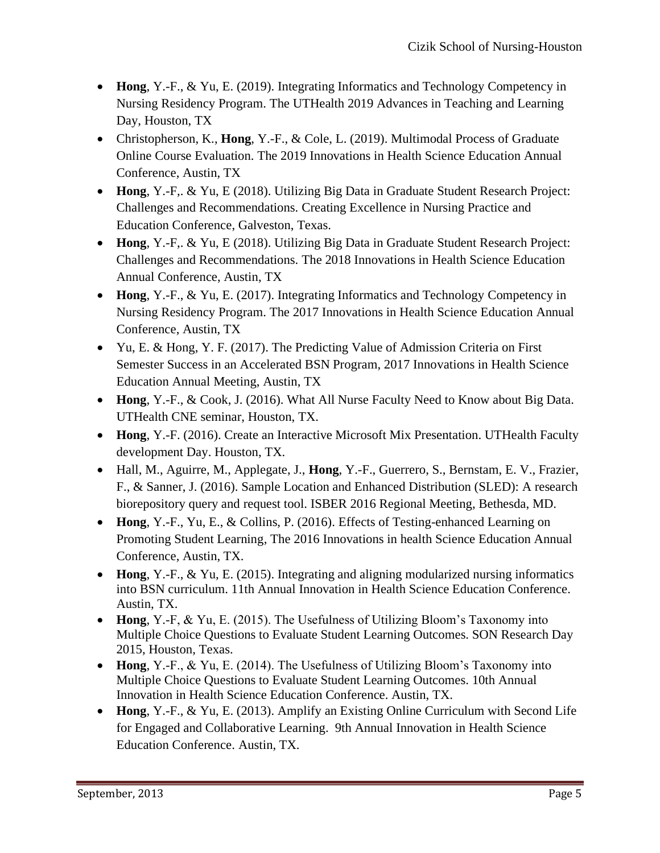- **Hong**, Y.-F., & Yu, E. (2019). Integrating Informatics and Technology Competency in Nursing Residency Program. The UTHealth 2019 Advances in Teaching and Learning Day, Houston, TX
- Christopherson, K., **Hong**, Y.-F., & Cole, L. (2019). Multimodal Process of Graduate Online Course Evaluation. The 2019 Innovations in Health Science Education Annual Conference, Austin, TX
- **Hong**, Y.-F,. & Yu, E (2018). Utilizing Big Data in Graduate Student Research Project: Challenges and Recommendations. Creating Excellence in Nursing Practice and Education Conference, Galveston, Texas.
- **Hong**, Y.-F,. & Yu, E (2018). Utilizing Big Data in Graduate Student Research Project: Challenges and Recommendations. The 2018 Innovations in Health Science Education Annual Conference, Austin, TX
- **Hong**, Y.-F., & Yu, E. (2017). Integrating Informatics and Technology Competency in Nursing Residency Program. The 2017 Innovations in Health Science Education Annual Conference, Austin, TX
- Yu, E. & Hong, Y. F. (2017). The Predicting Value of Admission Criteria on First Semester Success in an Accelerated BSN Program, 2017 Innovations in Health Science Education Annual Meeting, Austin, TX
- **Hong**, Y.-F., & Cook, J. (2016). What All Nurse Faculty Need to Know about Big Data. UTHealth CNE seminar, Houston, TX.
- **Hong**, Y.-F. (2016). Create an Interactive Microsoft Mix Presentation. UTHealth Faculty development Day. Houston, TX.
- Hall, M., Aguirre, M., Applegate, J., **Hong**, Y.-F., Guerrero, S., Bernstam, E. V., Frazier, F., & Sanner, J. (2016). Sample Location and Enhanced Distribution (SLED): A research biorepository query and request tool. ISBER 2016 Regional Meeting, Bethesda, MD.
- **Hong**, Y.-F., Yu, E., & Collins, P. (2016). Effects of Testing-enhanced Learning on Promoting Student Learning, The 2016 Innovations in health Science Education Annual Conference, Austin, TX.
- **Hong**, Y.-F., & Yu, E. (2015). Integrating and aligning modularized nursing informatics into BSN curriculum. 11th Annual Innovation in Health Science Education Conference. Austin, TX.
- **Hong**, Y.-F, & Yu, E. (2015). The Usefulness of Utilizing Bloom's Taxonomy into Multiple Choice Questions to Evaluate Student Learning Outcomes. SON Research Day 2015, Houston, Texas.
- **Hong**, Y.-F., & Yu, E. (2014). The Usefulness of Utilizing Bloom's Taxonomy into Multiple Choice Questions to Evaluate Student Learning Outcomes. 10th Annual Innovation in Health Science Education Conference. Austin, TX.
- **Hong**, Y.-F., & Yu, E. (2013). Amplify an Existing Online Curriculum with Second Life for Engaged and Collaborative Learning. 9th Annual Innovation in Health Science Education Conference. Austin, TX.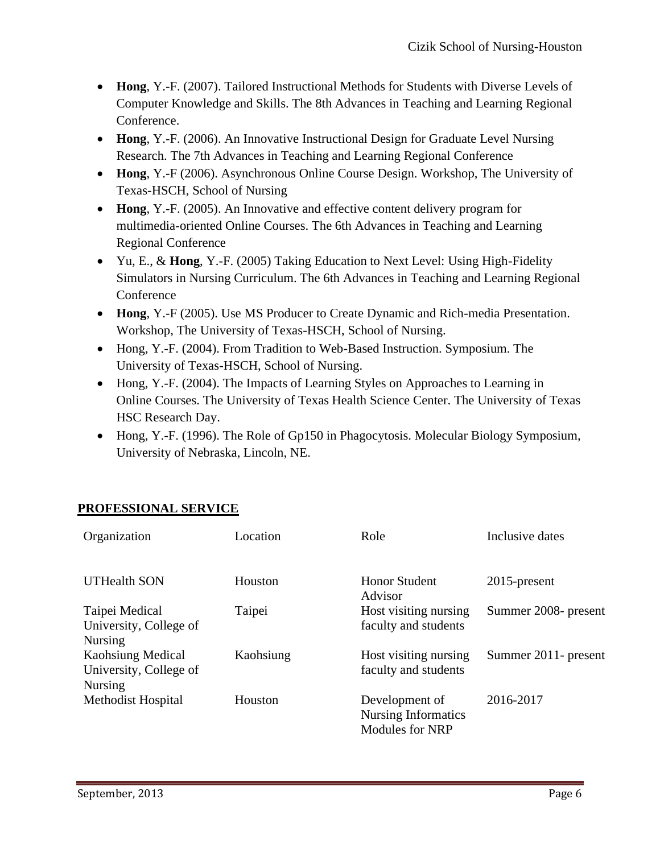- **Hong**, Y.-F. (2007). Tailored Instructional Methods for Students with Diverse Levels of Computer Knowledge and Skills. The 8th Advances in Teaching and Learning Regional Conference.
- **Hong**, Y.-F. (2006). An Innovative Instructional Design for Graduate Level Nursing Research. The 7th Advances in Teaching and Learning Regional Conference
- **Hong**, Y.-F (2006). Asynchronous Online Course Design. Workshop, The University of Texas-HSCH, School of Nursing
- **Hong**, Y.-F. (2005). An Innovative and effective content delivery program for multimedia-oriented Online Courses. The 6th Advances in Teaching and Learning Regional Conference
- Yu, E., & **Hong**, Y.-F. (2005) Taking Education to Next Level: Using High-Fidelity Simulators in Nursing Curriculum. The 6th Advances in Teaching and Learning Regional Conference
- **Hong**, Y.-F (2005). Use MS Producer to Create Dynamic and Rich-media Presentation. Workshop, The University of Texas-HSCH, School of Nursing.
- Hong, Y.-F. (2004). From Tradition to Web-Based Instruction. Symposium. The University of Texas-HSCH, School of Nursing.
- Hong, Y.-F. (2004). The Impacts of Learning Styles on Approaches to Learning in Online Courses. The University of Texas Health Science Center. The University of Texas HSC Research Day.
- Hong, Y.-F. (1996). The Role of Gp150 in Phagocytosis. Molecular Biology Symposium, University of Nebraska, Lincoln, NE.

## **PROFESSIONAL SERVICE**

| Organization                                                         | Location  | Role                                                                   | Inclusive dates      |
|----------------------------------------------------------------------|-----------|------------------------------------------------------------------------|----------------------|
| <b>UTHealth SON</b>                                                  | Houston   | <b>Honor Student</b><br>Advisor                                        | $2015$ -present      |
| Taipei Medical<br>University, College of<br><b>Nursing</b>           | Taipei    | Host visiting nursing<br>faculty and students                          | Summer 2008- present |
| <b>Kaohsiung Medical</b><br>University, College of<br><b>Nursing</b> | Kaohsiung | Host visiting nursing<br>faculty and students                          | Summer 2011- present |
| Methodist Hospital                                                   | Houston   | Development of<br><b>Nursing Informatics</b><br><b>Modules for NRP</b> | 2016-2017            |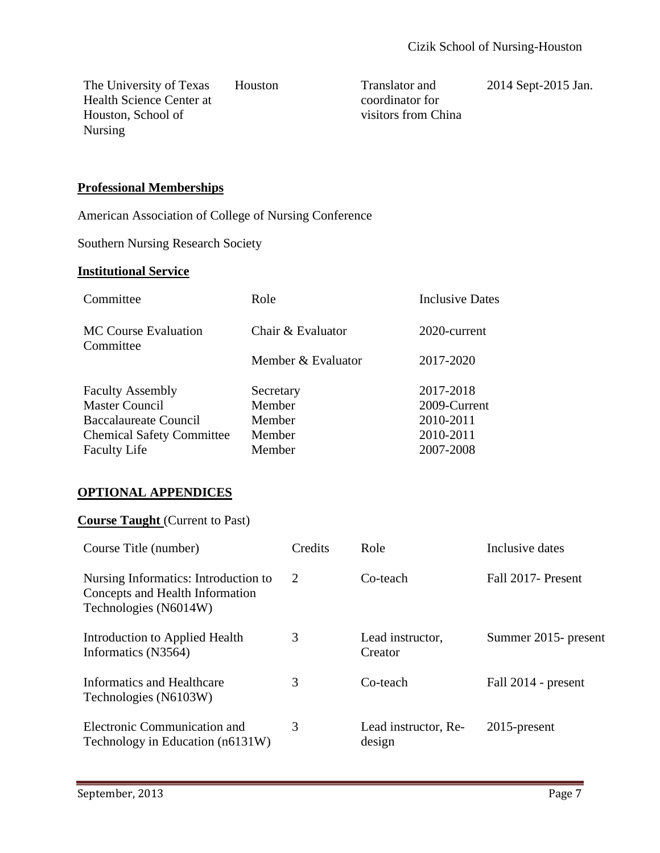The University of Texas Health Science Center at Houston, School of Nursing

Houston Translator and coordinator for visitors from China

2014 Sept-2015 Jan.

## **Professional Memberships**

American Association of College of Nursing Conference

Southern Nursing Research Society

#### **Institutional Service**

| Committee                                | Role               | <b>Inclusive Dates</b> |
|------------------------------------------|--------------------|------------------------|
| <b>MC Course Evaluation</b><br>Committee | Chair & Evaluator  | 2020-current           |
|                                          | Member & Evaluator | 2017-2020              |
| <b>Faculty Assembly</b>                  | Secretary          | 2017-2018              |
| <b>Master Council</b>                    | Member             | 2009-Current           |
| Baccalaureate Council                    | Member             | 2010-2011              |
| <b>Chemical Safety Committee</b>         | Member             | 2010-2011              |
| <b>Faculty Life</b>                      | Member             | 2007-2008              |

#### **OPTIONAL APPENDICES**

#### **Course Taught** (Current to Past)

| Course Title (number)                                                                            | Credits | Role                           | Inclusive dates      |
|--------------------------------------------------------------------------------------------------|---------|--------------------------------|----------------------|
| Nursing Informatics: Introduction to<br>Concepts and Health Information<br>Technologies (N6014W) | 2       | Co-teach                       | Fall 2017- Present   |
| Introduction to Applied Health<br>Informatics (N3564)                                            | 3       | Lead instructor,<br>Creator    | Summer 2015- present |
| Informatics and Healthcare<br>Technologies (N6103W)                                              | 3       | Co-teach                       | Fall 2014 - present  |
| Electronic Communication and<br>Technology in Education (n6131W)                                 | 3       | Lead instructor, Re-<br>design | $2015$ -present      |